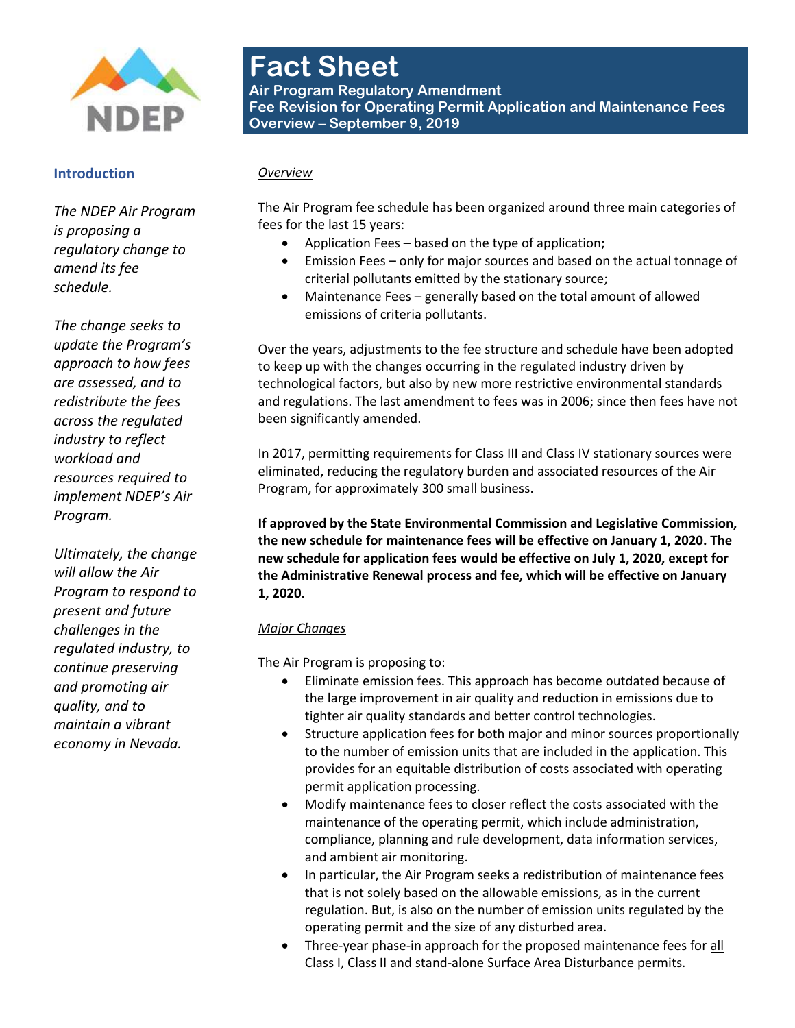

#### **Introduction**

*The NDEP Air Program is proposing a regulatory change to amend its fee schedule.* 

*The change seeks to update the Program's approach to how fees are assessed, and to redistribute the fees across the regulated industry to reflect workload and resources required to implement NDEP's Air Program.* 

*Ultimately, the change will allow the Air Program to respond to present and future challenges in the regulated industry, to continue preserving and promoting air quality, and to maintain a vibrant economy in Nevada.*

# **Fact Sheet**

**Air Program Regulatory Amendment Fee Revision for Operating Permit Application and Maintenance Fees Overview – September 9, 2019**

#### *Overview*

The Air Program fee schedule has been organized around three main categories of fees for the last 15 years:

- Application Fees based on the type of application;
- Emission Fees only for major sources and based on the actual tonnage of criterial pollutants emitted by the stationary source;
- Maintenance Fees generally based on the total amount of allowed emissions of criteria pollutants.

Over the years, adjustments to the fee structure and schedule have been adopted to keep up with the changes occurring in the regulated industry driven by technological factors, but also by new more restrictive environmental standards and regulations. The last amendment to fees was in 2006; since then fees have not been significantly amended.

In 2017, permitting requirements for Class III and Class IV stationary sources were eliminated, reducing the regulatory burden and associated resources of the Air Program, for approximately 300 small business.

**If approved by the State Environmental Commission and Legislative Commission, the new schedule for maintenance fees will be effective on January 1, 2020. The new schedule for application fees would be effective on July 1, 2020, except for the Administrative Renewal process and fee, which will be effective on January 1, 2020.**

## *Major Changes*

The Air Program is proposing to:

- Eliminate emission fees. This approach has become outdated because of the large improvement in air quality and reduction in emissions due to tighter air quality standards and better control technologies.
- Structure application fees for both major and minor sources proportionally to the number of emission units that are included in the application. This provides for an equitable distribution of costs associated with operating permit application processing.
- Modify maintenance fees to closer reflect the costs associated with the maintenance of the operating permit, which include administration, compliance, planning and rule development, data information services, and ambient air monitoring.
- In particular, the Air Program seeks a redistribution of maintenance fees that is not solely based on the allowable emissions, as in the current regulation. But, is also on the number of emission units regulated by the operating permit and the size of any disturbed area.
- Three-year phase-in approach for the proposed maintenance fees for all Class I, Class II and stand-alone Surface Area Disturbance permits.